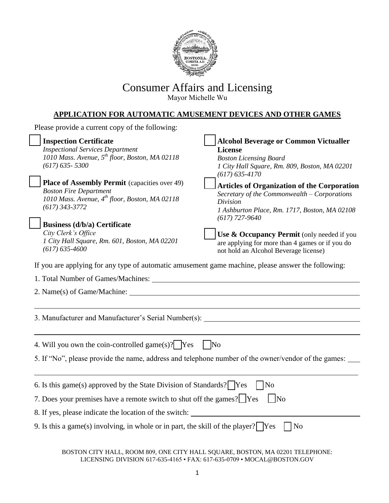

# Consumer Affairs and Licensing

Mayor Michelle Wu

## **APPLICATION FOR AUTOMATIC AMUSEMENT DEVICES AND OTHER GAMES**

| Please provide a current copy of the following:                                                                                                                                                                                                                                                              |                                                                                                                                                                                                                                                                                                                                      |
|--------------------------------------------------------------------------------------------------------------------------------------------------------------------------------------------------------------------------------------------------------------------------------------------------------------|--------------------------------------------------------------------------------------------------------------------------------------------------------------------------------------------------------------------------------------------------------------------------------------------------------------------------------------|
| <b>Inspection Certificate</b><br><b>Inspectional Services Department</b><br>1010 Mass. Avenue, $5^{th}$ floor, Boston, MA 02118<br>$(617) 635 - 5300$                                                                                                                                                        | <b>Alcohol Beverage or Common Victualler</b><br><b>License</b><br><b>Boston Licensing Board</b><br>1 City Hall Square, Rm. 809, Boston, MA 02201<br>$(617) 635 - 4170$                                                                                                                                                               |
| <b>Place of Assembly Permit</b> (capacities over 49)<br><b>Boston Fire Department</b><br>1010 Mass. Avenue, 4th floor, Boston, MA 02118<br>$(617)$ 343-3772<br><b>Business (d/b/a) Certificate</b><br>City Clerk's Office<br>1 City Hall Square, Rm. 601, Boston, MA 02201<br>$(617) 635 - 4600$             | <b>Articles of Organization of the Corporation</b><br>Secretary of the Commonwealth - Corporations<br><b>Division</b><br>1 Ashburton Place, Rm. 1717, Boston, MA 02108<br>$(617)$ 727-9640<br>Use & Occupancy Permit (only needed if you<br>are applying for more than 4 games or if you do<br>not hold an Alcohol Beverage license) |
| If you are applying for any type of automatic amusement game machine, please answer the following:                                                                                                                                                                                                           |                                                                                                                                                                                                                                                                                                                                      |
| 2. Name(s) of Game/Machine:                                                                                                                                                                                                                                                                                  |                                                                                                                                                                                                                                                                                                                                      |
| 3. Manufacturer and Manufacturer's Serial Number(s): ___________________________                                                                                                                                                                                                                             |                                                                                                                                                                                                                                                                                                                                      |
| 4. Will you own the coin-controlled game(s)? Yes<br>5. If "No", please provide the name, address and telephone number of the owner/vendor of the games:                                                                                                                                                      | $\mid$ No                                                                                                                                                                                                                                                                                                                            |
| 6. Is this game(s) approved by the State Division of Standards? $\sqrt{\text{Yes}}$<br>7. Does your premises have a remote switch to shut off the games? Yes<br>8. If yes, please indicate the location of the switch:<br>9. Is this a game(s) involving, in whole or in part, the skill of the player? [Yes | No<br>$\vert$ No<br>N <sub>o</sub>                                                                                                                                                                                                                                                                                                   |

BOSTON CITY HALL, ROOM 809, ONE CITY HALL SQUARE, BOSTON, MA 02201 TELEPHONE: LICENSING DIVISION 617-635-4165 • FAX: 617-635-0709 • MOCAL@BOSTON.GOV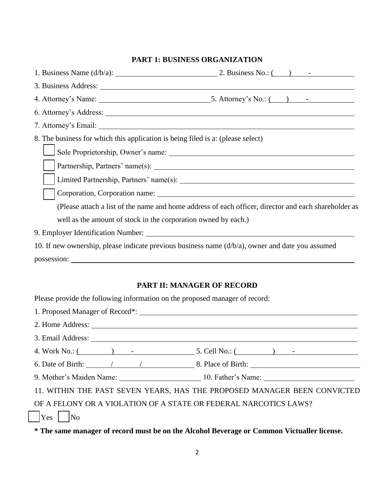## **PART 1: BUSINESS ORGANIZATION**

|                                                                                                     | 1. Business Name $(d/b/a)$ : 2. Business No.: $($ ) -                                                                                                                                                                                                                                                              |
|-----------------------------------------------------------------------------------------------------|--------------------------------------------------------------------------------------------------------------------------------------------------------------------------------------------------------------------------------------------------------------------------------------------------------------------|
|                                                                                                     |                                                                                                                                                                                                                                                                                                                    |
|                                                                                                     |                                                                                                                                                                                                                                                                                                                    |
|                                                                                                     |                                                                                                                                                                                                                                                                                                                    |
|                                                                                                     | 7. Attorney's Email: University of the same state of the state of the state of the state of the state of the state of the state of the state of the state of the state of the state of the state of the state of the state of                                                                                      |
| 8. The business for which this application is being filed is a: (please select)                     |                                                                                                                                                                                                                                                                                                                    |
|                                                                                                     |                                                                                                                                                                                                                                                                                                                    |
|                                                                                                     |                                                                                                                                                                                                                                                                                                                    |
|                                                                                                     |                                                                                                                                                                                                                                                                                                                    |
|                                                                                                     | Corporation, Corporation name: Letter and the contract of the contract of the contract of the contract of the contract of the contract of the contract of the contract of the contract of the contract of the contract of the                                                                                      |
|                                                                                                     | (Please attach a list of the name and home address of each officer, director and each shareholder as                                                                                                                                                                                                               |
| well as the amount of stock in the corporation owned by each.)                                      |                                                                                                                                                                                                                                                                                                                    |
|                                                                                                     |                                                                                                                                                                                                                                                                                                                    |
| 10. If new ownership, please indicate previous business name $(d/b/a)$ , owner and date you assumed |                                                                                                                                                                                                                                                                                                                    |
| possession:                                                                                         |                                                                                                                                                                                                                                                                                                                    |
|                                                                                                     | <b>PART II: MANAGER OF RECORD</b>                                                                                                                                                                                                                                                                                  |
| Please provide the following information on the proposed manager of record:                         |                                                                                                                                                                                                                                                                                                                    |
| 1. Proposed Manager of Record*: Manager of Record 2014.                                             |                                                                                                                                                                                                                                                                                                                    |
|                                                                                                     |                                                                                                                                                                                                                                                                                                                    |
|                                                                                                     |                                                                                                                                                                                                                                                                                                                    |
|                                                                                                     | 4. Work No.: $\frac{1}{2}$ $\frac{1}{2}$ $\frac{1}{2}$ $\frac{1}{2}$ $\frac{1}{2}$ $\frac{1}{2}$ $\frac{1}{2}$ $\frac{1}{2}$ $\frac{1}{2}$ $\frac{1}{2}$ $\frac{1}{2}$ $\frac{1}{2}$ $\frac{1}{2}$ $\frac{1}{2}$ $\frac{1}{2}$ $\frac{1}{2}$ $\frac{1}{2}$ $\frac{1}{2}$ $\frac{1}{2}$ $\frac{1}{2}$ $\frac{1}{2}$ |
|                                                                                                     |                                                                                                                                                                                                                                                                                                                    |
|                                                                                                     | 9. Mother's Maiden Name: 10. Father's Name: 10. Father's Name:                                                                                                                                                                                                                                                     |
|                                                                                                     | 11. WITHIN THE PAST SEVEN YEARS, HAS THE PROPOSED MANAGER BEEN CONVICTED                                                                                                                                                                                                                                           |

OF A FELONY OR A VIOLATION OF A STATE OR FEDERAL NARCOTICS LAWS?

 $|{\rm Yes} \t|$   $|{\rm No} \t|$ 

**\* The same manager of record must be on the Alcohol Beverage or Common Victualler license.**